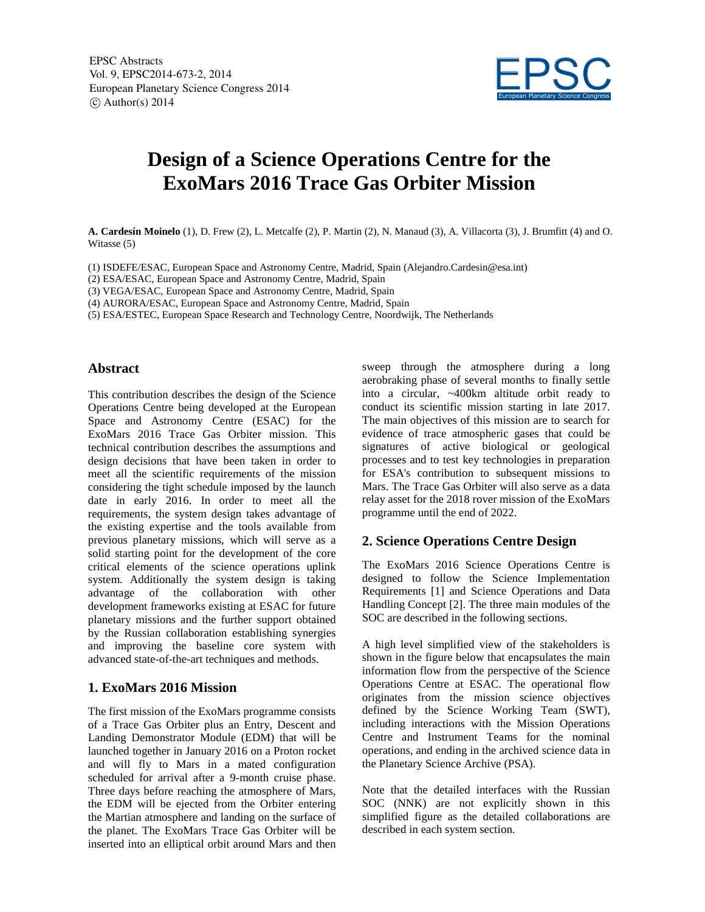

# **Design of a Science Operations Centre for the ExoMars 2016 Trace Gas Orbiter Mission**

**A. Cardesín Moinelo** (1), D. Frew (2), L. Metcalfe (2), P. Martin (2), N. Manaud (3), A. Villacorta (3), J. Brumfitt (4) and O. Witasse (5)

- (1) ISDEFE/ESAC, European Space and Astronomy Centre, Madrid, Spain (Alejandro.Cardesin@esa.int)
- (2) ESA/ESAC, European Space and Astronomy Centre, Madrid, Spain
- (3) VEGA/ESAC, European Space and Astronomy Centre, Madrid, Spain
- (4) AURORA/ESAC, European Space and Astronomy Centre, Madrid, Spain
- (5) ESA/ESTEC, European Space Research and Technology Centre, Noordwijk, The Netherlands

#### **Abstract**

This contribution describes the design of the Science Operations Centre being developed at the European Space and Astronomy Centre (ESAC) for the ExoMars 2016 Trace Gas Orbiter mission. This technical contribution describes the assumptions and design decisions that have been taken in order to meet all the scientific requirements of the mission considering the tight schedule imposed by the launch date in early 2016. In order to meet all the requirements, the system design takes advantage of the existing expertise and the tools available from previous planetary missions, which will serve as a solid starting point for the development of the core critical elements of the science operations uplink system. Additionally the system design is taking advantage of the collaboration with other development frameworks existing at ESAC for future planetary missions and the further support obtained by the Russian collaboration establishing synergies and improving the baseline core system with advanced state-of-the-art techniques and methods.

# **1. ExoMars 2016 Mission**

The first mission of the ExoMars programme consists of a Trace Gas Orbiter plus an Entry, Descent and Landing Demonstrator Module (EDM) that will be launched together in January 2016 on a Proton rocket and will fly to Mars in a mated configuration scheduled for arrival after a 9-month cruise phase. Three days before reaching the atmosphere of Mars, the EDM will be ejected from the Orbiter entering the Martian atmosphere and landing on the surface of the planet. The ExoMars Trace Gas Orbiter will be inserted into an elliptical orbit around Mars and then

sweep through the atmosphere during a long aerobraking phase of several months to finally settle into a circular, ~400km altitude orbit ready to conduct its scientific mission starting in late 2017. The main objectives of this mission are to search for evidence of trace atmospheric gases that could be signatures of active biological or geological processes and to test key technologies in preparation for ESA's contribution to subsequent missions to Mars. The Trace Gas Orbiter will also serve as a data relay asset for the 2018 rover mission of the ExoMars programme until the end of 2022.

# **2. Science Operations Centre Design**

The ExoMars 2016 Science Operations Centre is designed to follow the Science Implementation Requirements [1] and Science Operations and Data Handling Concept [2]. The three main modules of the SOC are described in the following sections.

A high level simplified view of the stakeholders is shown in the figure below that encapsulates the main information flow from the perspective of the Science Operations Centre at ESAC. The operational flow originates from the mission science objectives defined by the Science Working Team (SWT), including interactions with the Mission Operations Centre and Instrument Teams for the nominal operations, and ending in the archived science data in the Planetary Science Archive (PSA).

Note that the detailed interfaces with the Russian SOC (NNK) are not explicitly shown in this simplified figure as the detailed collaborations are described in each system section.